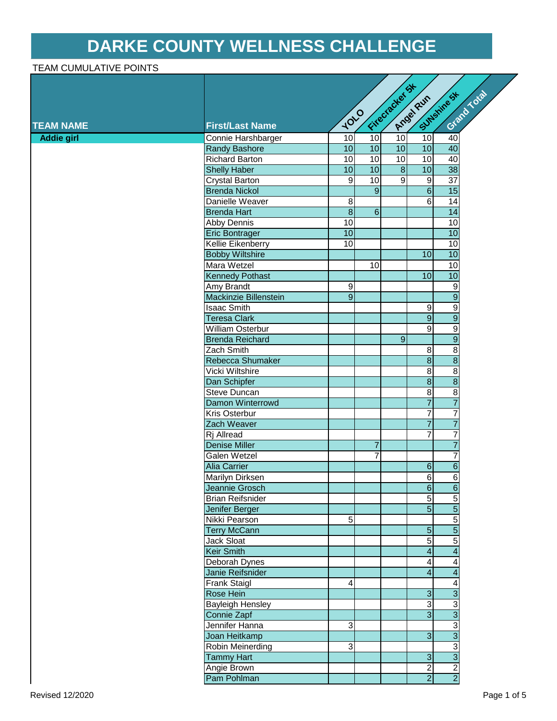## **DARKE COUNTY WELLNESS CHALLENGE**

## TEAM CUMULATIVE POINTS

|                   |                              |                         |                | Fitecracker St | Angeleur                | S Sunshine St           | Grand Total |
|-------------------|------------------------------|-------------------------|----------------|----------------|-------------------------|-------------------------|-------------|
|                   |                              |                         |                |                |                         |                         |             |
| <b>TEAM NAME</b>  | <b>First/Last Name</b>       | 1010                    |                |                |                         |                         |             |
| <b>Addie girl</b> | Connie Harshbarger           | 10                      | 10             | 10             | 10                      | 40                      |             |
|                   | <b>Randy Bashore</b>         | 10                      | 10             | 10             | 10                      | 40                      |             |
|                   | <b>Richard Barton</b>        | 10                      | 10             | 10             | 10                      | 40                      |             |
|                   | <b>Shelly Haber</b>          | 10                      | 10             | $\overline{8}$ | 10                      | 38                      |             |
|                   | Crystal Barton               | $\overline{9}$          | 10             | $\overline{9}$ | $\overline{9}$          | $\overline{37}$         |             |
|                   | <b>Brenda Nickol</b>         |                         | $\overline{9}$ |                | $\overline{6}$          | 15                      |             |
|                   | Danielle Weaver              | $\boldsymbol{8}$        |                |                | $\overline{6}$          | $\overline{14}$         |             |
|                   | <b>Brenda Hart</b>           | $\overline{\infty}$     | $\overline{6}$ |                |                         | $\overline{14}$         |             |
|                   | Abby Dennis                  | 10                      |                |                |                         | $\overline{10}$         |             |
|                   | <b>Eric Bontrager</b>        | 10                      |                |                |                         | 10                      |             |
|                   | <b>Kellie Eikenberry</b>     | 10                      |                |                |                         | $\overline{10}$         |             |
|                   | <b>Bobby Wiltshire</b>       |                         |                |                | 10                      | 10                      |             |
|                   | Mara Wetzel                  |                         | 10             |                |                         | 10                      |             |
|                   | <b>Kennedy Pothast</b>       |                         |                |                | 10                      | 10                      |             |
|                   | Amy Brandt                   | $\overline{9}$          |                |                |                         | $\overline{9}$          |             |
|                   | <b>Mackinzie Billenstein</b> | $\overline{9}$          |                |                |                         | $\overline{9}$          |             |
|                   | <b>Isaac Smith</b>           |                         |                |                | 9                       | $\overline{9}$          |             |
|                   | <b>Teresa Clark</b>          |                         |                |                | $\overline{9}$          | $\overline{9}$          |             |
|                   | William Osterbur             |                         |                |                | $\overline{9}$          | $\overline{9}$          |             |
|                   | <b>Brenda Reichard</b>       |                         |                | $\overline{9}$ |                         | $\overline{9}$          |             |
|                   | Zach Smith                   |                         |                |                | 8 <sup>1</sup>          | $\bf{8}$                |             |
|                   | Rebecca Shumaker             |                         |                |                | $\overline{8}$          | $\overline{\mathbf{8}}$ |             |
|                   | Vicki Wiltshire              |                         |                |                | 8                       | $\overline{8}$          |             |
|                   | Dan Schipfer                 |                         |                |                | $\overline{\mathbf{8}}$ | $\overline{8}$          |             |
|                   | Steve Duncan                 |                         |                |                | $\infty$                | $\overline{8}$          |             |
|                   | Damon Winterrowd             |                         |                |                | $\overline{7}$          | $\overline{7}$          |             |
|                   | Kris Osterbur                |                         |                |                | $\overline{7}$          | $\overline{7}$          |             |
|                   | Zach Weaver                  |                         |                |                | $\overline{7}$          | $\overline{7}$          |             |
|                   | Rj Allread                   |                         |                |                | $\overline{7}$          | $\overline{7}$          |             |
|                   | <b>Denise Miller</b>         |                         | $\overline{7}$ |                |                         | $\overline{7}$          |             |
|                   | Galen Wetzel                 |                         | $\overline{7}$ |                |                         | $\overline{7}$          |             |
|                   | <b>Alia Carrier</b>          |                         |                |                | $\overline{6}$          | $\overline{6}$          |             |
|                   | Marilyn Dirksen              |                         |                |                | 6                       | $\overline{6}$          |             |
|                   | Jeannie Grosch               |                         |                |                | $\overline{6}$          | $\overline{6}$          |             |
|                   | <b>Brian Reifsnider</b>      |                         |                |                | $\overline{5}$          | $\overline{5}$          |             |
|                   | Jenifer Berger               |                         |                |                | $\overline{5}$          | $\overline{5}$          |             |
|                   | Nikki Pearson                | 5                       |                |                |                         |                         |             |
|                   | <b>Terry McCann</b>          |                         |                |                | 5 <sub>5</sub>          | $\frac{5}{5}$           |             |
|                   | Jack Sloat                   |                         |                |                | $\overline{5}$          | $\overline{5}$          |             |
|                   | <b>Keir Smith</b>            |                         |                |                | $\overline{\mathbf{r}}$ | $\overline{4}$          |             |
|                   | Deborah Dynes                |                         |                |                | $\vert 4 \vert$         | 4                       |             |
|                   | Janie Reifsnider             |                         |                |                | $\overline{\mathbf{r}}$ | $\overline{4}$          |             |
|                   | Frank Staigl                 | $\overline{\mathbf{4}}$ |                |                |                         | $\overline{4}$          |             |
|                   | Rose Hein                    |                         |                |                | $\overline{3}$          | $\overline{3}$          |             |
|                   | <b>Bayleigh Hensley</b>      |                         |                |                | 3                       |                         |             |
|                   | Connie Zapf                  |                         |                |                | $\overline{3}$          | $\frac{1}{3}$           |             |
|                   | Jennifer Hanna               | $\overline{3}$          |                |                |                         | <u>ဩပ</u>               |             |
|                   | Joan Heitkamp                |                         |                |                | $\overline{3}$          |                         |             |
|                   | Robin Meinerding             | 3                       |                |                |                         | $\frac{1}{3}$           |             |
|                   | <b>Tammy Hart</b>            |                         |                |                | $\mathbf{3}$            |                         |             |
|                   | Angie Brown                  |                         |                |                | $\overline{2}$          | $\frac{2}{2}$           |             |
|                   | Pam Pohlman                  |                         |                |                | $\overline{2}$          |                         |             |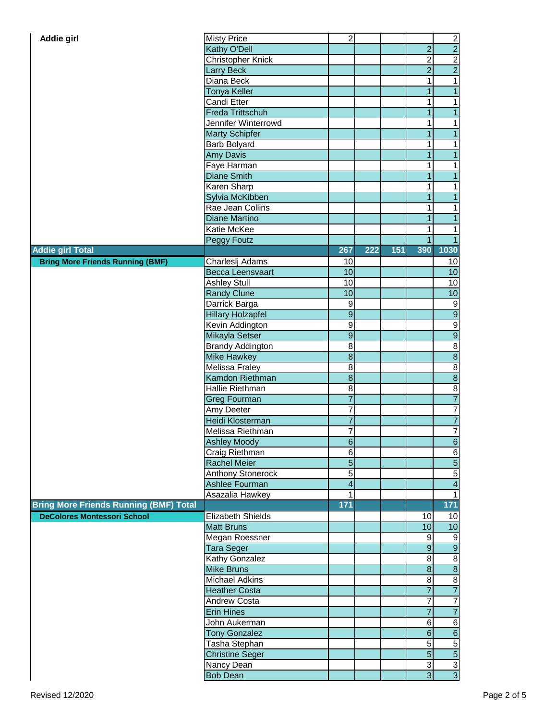| Addie girl                                    | <b>Misty Price</b>       | $\sqrt{2}$              |     |     |                         |                            |
|-----------------------------------------------|--------------------------|-------------------------|-----|-----|-------------------------|----------------------------|
|                                               | Kathy O'Dell             |                         |     |     | $\overline{2}$          | $\frac{2}{2}$              |
|                                               | Christopher Knick        |                         |     |     | $\overline{\mathbf{c}}$ |                            |
|                                               | <b>Larry Beck</b>        |                         |     |     | $\overline{2}$          | $\frac{2}{2}$              |
|                                               | Diana Beck               |                         |     |     | 1                       | $\overline{\phantom{0}}$   |
|                                               | Tonya Keller             |                         |     |     | 1                       | $\overline{1}$             |
|                                               | Candi Etter              |                         |     |     | 1                       | $\mathbf{1}$               |
|                                               | Freda Trittschuh         |                         |     |     | $\overline{1}$          | $\overline{1}$             |
|                                               | Jennifer Winterrowd      |                         |     |     | 1                       | $\mathbf{1}$               |
|                                               | <b>Marty Schipfer</b>    |                         |     |     | 1                       | $\overline{1}$             |
|                                               | Barb Bolyard             |                         |     |     | 1                       | $\mathbf{1}$               |
|                                               | <b>Amy Davis</b>         |                         |     |     | $\overline{1}$          | $\overline{1}$             |
|                                               | Faye Harman              |                         |     |     | 1                       | $\overline{1}$             |
|                                               | <b>Diane Smith</b>       |                         |     |     | 1                       | $\overline{1}$             |
|                                               | Karen Sharp              |                         |     |     | 1                       | $\overline{1}$             |
|                                               |                          |                         |     |     | 1                       | $\overline{1}$             |
|                                               | Sylvia McKibben          |                         |     |     |                         |                            |
|                                               | Rae Jean Collins         |                         |     |     | 1                       | $\mathbf{1}$               |
|                                               | <b>Diane Martino</b>     |                         |     |     | 1                       | $\overline{1}$             |
|                                               | Katie McKee              |                         |     |     | 1                       | $\mathbf{1}$               |
|                                               | Peggy Foutz              |                         |     |     | $\mathbf 1$             | $\overline{1}$             |
| <b>Addie girl Total</b>                       |                          | 267                     | 222 | 151 | 390                     | 1030                       |
| <b>Bring More Friends Running (BMF)</b>       | Charleslj Adams          | 10                      |     |     |                         | 10                         |
|                                               | <b>Becca Leensvaart</b>  | 10                      |     |     |                         | 10                         |
|                                               | <b>Ashley Stull</b>      | 10                      |     |     |                         | 10                         |
|                                               | <b>Randy Clune</b>       | 10                      |     |     |                         | 10                         |
|                                               | Darrick Barga            | $\boldsymbol{9}$        |     |     |                         | $\mathsf 9$                |
|                                               | <b>Hillary Holzapfel</b> | $\overline{9}$          |     |     |                         | $\overline{9}$             |
|                                               | Kevin Addington          | $\overline{9}$          |     |     |                         | $\overline{9}$             |
|                                               | Mikayla Setser           | $\overline{9}$          |     |     |                         | 9                          |
|                                               | <b>Brandy Addington</b>  | 8                       |     |     |                         | $\frac{8}{10}$             |
|                                               | <b>Mike Hawkey</b>       | $\overline{8}$          |     |     |                         |                            |
|                                               | Melissa Fraley           | 8                       |     |     |                         | $\bf{8}$                   |
|                                               | Kamdon Riethman          | $\bf 8$                 |     |     |                         | $\overline{8}$             |
|                                               | Hallie Riethman          | $\bf 8$                 |     |     |                         | $\bf{8}$                   |
|                                               | <b>Greg Fourman</b>      | $\overline{7}$          |     |     |                         | $\overline{7}$             |
|                                               | Amy Deeter               | $\overline{7}$          |     |     |                         | $\overline{7}$             |
|                                               | Heidi Klosterman         | $\overline{7}$          |     |     |                         | $\overline{7}$             |
|                                               | Melissa Riethman         | $\overline{7}$          |     |     |                         | $\overline{7}$             |
|                                               | <b>Ashley Moody</b>      | $\sigma$                |     |     |                         | $\overline{6}$             |
|                                               | Craig Riethman           | $\,6$                   |     |     |                         | $\,6$                      |
|                                               | <b>Rachel Meier</b>      | $\overline{5}$          |     |     |                         | $\overline{5}$             |
|                                               | <b>Anthony Stonerock</b> | $\overline{5}$          |     |     |                         | $\overline{5}$             |
|                                               | Ashlee Fourman           | $\overline{\mathbf{4}}$ |     |     |                         | $\overline{\mathbf{4}}$    |
|                                               | Asazalia Hawkey          | 1                       |     |     |                         | $\overline{\phantom{0}}$   |
| <b>Bring More Friends Running (BMF) Total</b> |                          | 171                     |     |     |                         | 171                        |
| <b>DeColores Montessori School</b>            | Elizabeth Shields        |                         |     |     | 10                      | 10                         |
|                                               | <b>Matt Bruns</b>        |                         |     |     | 10                      | 10                         |
|                                               |                          |                         |     |     |                         |                            |
|                                               | Megan Roessner           |                         |     |     | 9                       | 9                          |
|                                               | <b>Tara Seger</b>        |                         |     |     | $\overline{9}$          | $\overline{9}$             |
|                                               | Kathy Gonzalez           |                         |     |     | 8                       | $\bf 8$                    |
|                                               | <b>Mike Bruns</b>        |                         |     |     | $\bf 8$                 | $\infty$                   |
|                                               | <b>Michael Adkins</b>    |                         |     |     | 8                       | $\infty$                   |
|                                               | <b>Heather Costa</b>     |                         |     |     | $\overline{7}$          | $\overline{7}$             |
|                                               | Andrew Costa             |                         |     |     | 7                       | $\overline{7}$             |
|                                               | <b>Erin Hines</b>        |                         |     |     | $\overline{7}$          | $\overline{7}$             |
|                                               | John Aukerman            |                         |     |     | 6                       | $\sigma$                   |
|                                               | <b>Tony Gonzalez</b>     |                         |     |     | $\overline{6}$          | $\overline{6}$             |
|                                               | Tasha Stephan            |                         |     |     | $\overline{5}$          | $\overline{5}$             |
|                                               | <b>Christine Seger</b>   |                         |     |     | $\overline{5}$          | $\overline{5}$             |
|                                               | Nancy Dean               |                         |     |     | $\overline{3}$          |                            |
|                                               | <b>Bob Dean</b>          |                         |     |     | $\overline{3}$          | ယ $\overline{\frac{3}{2}}$ |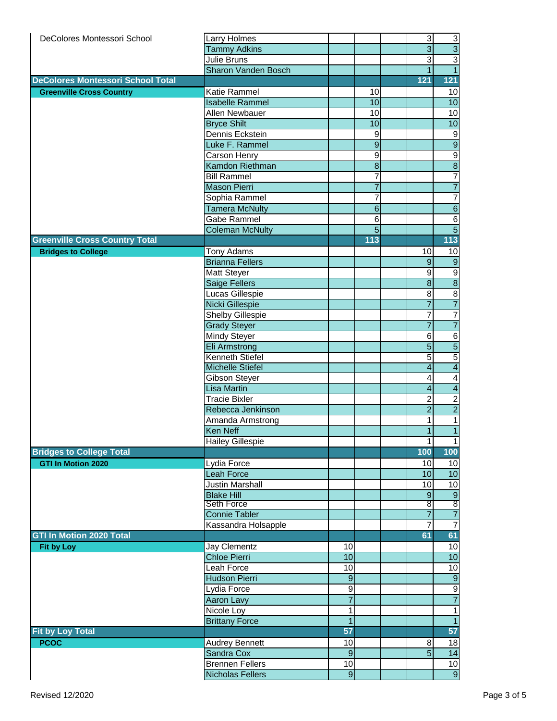| DeColores Montessori School              | Larry Holmes            |                 |                  | $\mathsf 3$             | $\mathbf{3}$                              |
|------------------------------------------|-------------------------|-----------------|------------------|-------------------------|-------------------------------------------|
|                                          | <b>Tammy Adkins</b>     |                 |                  | $\overline{3}$          | $\overline{3}$                            |
|                                          | Julie Bruns             |                 |                  | دن                      | $\overline{\overline{3}}$                 |
|                                          | Sharon Vanden Bosch     |                 |                  | $\overline{1}$          | $\overline{1}$                            |
| <b>DeColores Montessori School Total</b> |                         |                 |                  | 121                     | 121                                       |
|                                          | Katie Rammel            |                 | 10               |                         |                                           |
| <b>Greenville Cross Country</b>          |                         |                 |                  |                         | 10                                        |
|                                          | <b>Isabelle Rammel</b>  |                 | 10               |                         | 10                                        |
|                                          | Allen Newbauer          |                 | 10               |                         | 10                                        |
|                                          | <b>Bryce Shilt</b>      |                 | 10               |                         | 10                                        |
|                                          | Dennis Eckstein         |                 | $\boldsymbol{9}$ |                         | $9\,$                                     |
|                                          | Luke F. Rammel          |                 | $\overline{9}$   |                         | 9                                         |
|                                          | Carson Henry            |                 | $\overline{9}$   |                         | $\frac{9}{8}$                             |
|                                          | Kamdon Riethman         |                 | $\overline{8}$   |                         |                                           |
|                                          | <b>Bill Rammel</b>      |                 | $\overline{7}$   |                         | $\overline{7}$                            |
|                                          | <b>Mason Pierri</b>     |                 | $\overline{7}$   |                         | $\overline{7}$                            |
|                                          | Sophia Rammel           |                 | $\overline{7}$   |                         | $\overline{7}$                            |
|                                          | <b>Tamera McNulty</b>   |                 | $6 \overline{}$  |                         | $\overline{6}$                            |
|                                          | Gabe Rammel             |                 | $\overline{6}$   |                         | $\,6$                                     |
|                                          | <b>Coleman McNulty</b>  |                 | $\overline{5}$   |                         | $\overline{5}$                            |
| <b>Greenville Cross Country Total</b>    |                         |                 | 113              |                         | 113                                       |
|                                          |                         |                 |                  |                         |                                           |
| <b>Bridges to College</b>                | Tony Adams              |                 |                  | 10                      | 10                                        |
|                                          | <b>Brianna Fellers</b>  |                 |                  | $9$                     | $\overline{9}$                            |
|                                          | Matt Steyer             |                 |                  | $\boldsymbol{9}$        | $\frac{9}{8}$                             |
|                                          | Saige Fellers           |                 |                  | $\overline{8}$          |                                           |
|                                          | Lucas Gillespie         |                 |                  | $\overline{8}$          | $\overline{8}$                            |
|                                          | Nicki Gillespie         |                 |                  | $\overline{7}$          | $\overline{7}$                            |
|                                          | <b>Shelby Gillespie</b> |                 |                  | $\overline{7}$          | $\overline{7}$                            |
|                                          | <b>Grady Steyer</b>     |                 |                  | $\overline{7}$          | $\overline{7}$                            |
|                                          | Mindy Steyer            |                 |                  | $\,6$                   | $\,6$                                     |
|                                          | Eli Armstrong           |                 |                  | $\overline{5}$          | $\overline{\mathbf{5}}$                   |
|                                          | Kenneth Stiefel         |                 |                  | $\overline{5}$          | $\overline{5}$                            |
|                                          | <b>Michelle Stiefel</b> |                 |                  | $\overline{4}$          | $\overline{4}$                            |
|                                          | Gibson Steyer           |                 |                  | $\overline{\mathbf{4}}$ | $\overline{\mathcal{A}}$                  |
|                                          | <b>Lisa Martin</b>      |                 |                  | $\overline{4}$          | $\overline{\mathcal{A}}$                  |
|                                          | <b>Tracie Bixler</b>    |                 |                  | $\boldsymbol{2}$        |                                           |
|                                          |                         |                 |                  | $\overline{2}$          | $\overline{\mathbf{c}}$<br>$\overline{2}$ |
|                                          | Rebecca Jenkinson       |                 |                  |                         |                                           |
|                                          | Amanda Armstrong        |                 |                  | 1                       | $\mathbf{1}$                              |
|                                          | Ken Neff                |                 |                  | $\overline{1}$          | $\overline{1}$                            |
|                                          | <b>Hailey Gillespie</b> |                 |                  | $\mathbf{1}$            | $\overline{1}$                            |
| <b>Bridges to College Total</b>          |                         |                 |                  | 100                     | 100                                       |
| <b>GTI In Motion 2020</b>                | Lydia Force             |                 |                  | 10                      | 10                                        |
|                                          | <b>Leah Force</b>       |                 |                  | 10                      | 10                                        |
|                                          | Justin Marshall         |                 |                  | 10                      | 10                                        |
|                                          | <b>Blake Hill</b>       |                 |                  | $\boldsymbol{9}$        | $\overline{9}$                            |
|                                          | <b>Seth Force</b>       |                 |                  | $\overline{\mathbf{8}}$ | $\overline{8}$                            |
|                                          | <b>Connie Tabler</b>    |                 |                  | $\overline{7}$          | $\overline{7}$                            |
|                                          | Kassandra Holsapple     |                 |                  | $\overline{7}$          | $\overline{7}$                            |
| <b>GTI In Motion 2020 Total</b>          |                         |                 |                  | 61                      | 61                                        |
| <b>Fit by Loy</b>                        | Jay Clementz            | 10              |                  |                         | 10                                        |
|                                          | <b>Chloe Pierri</b>     | $\overline{10}$ |                  |                         | 10                                        |
|                                          | Leah Force              | 10              |                  |                         | 10                                        |
|                                          | <b>Hudson Pierri</b>    | $\overline{9}$  |                  |                         | $\overline{9}$                            |
|                                          |                         |                 |                  |                         |                                           |
|                                          | Lydia Force             | 9               |                  |                         | 9                                         |
|                                          | Aaron Lavy              | $\overline{7}$  |                  |                         | $\overline{7}$                            |
|                                          | Nicole Loy              | 1               |                  |                         | $\mathbf{1}$                              |
|                                          | <b>Brittany Force</b>   | $\overline{1}$  |                  |                         | $\overline{1}$                            |
| <b>Fit by Loy Total</b>                  |                         | 57              |                  |                         | 57                                        |
| <b>PCOC</b>                              | <b>Audrey Bennett</b>   | 10              |                  | 8                       | 18                                        |
|                                          | Sandra Cox              | $\overline{9}$  |                  | $\overline{5}$          | $\overline{14}$                           |
|                                          | <b>Brennen Fellers</b>  | $\overline{10}$ |                  |                         | 10                                        |
|                                          | <b>Nicholas Fellers</b> | $\overline{9}$  |                  |                         | $\overline{9}$                            |
|                                          |                         |                 |                  |                         |                                           |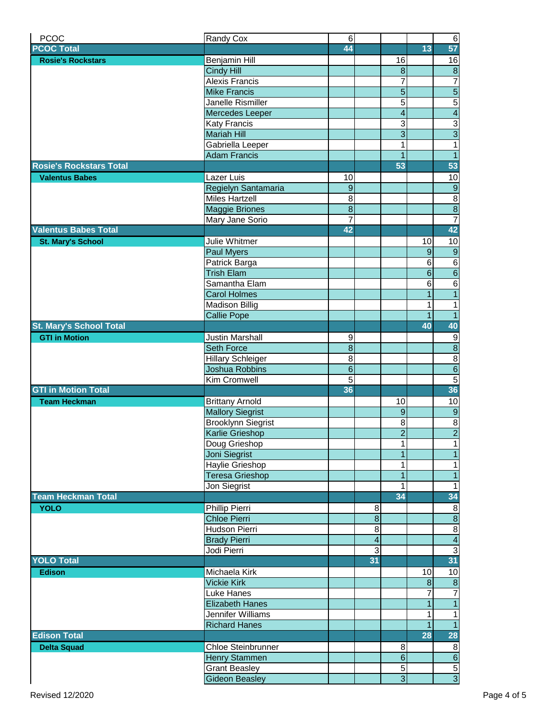| <b>PCOC</b>                    | Randy Cox                 | $\,6$            |                         |                         |                 | $\overline{6}$                   |
|--------------------------------|---------------------------|------------------|-------------------------|-------------------------|-----------------|----------------------------------|
| <b>PCOC Total</b>              |                           | 44               |                         |                         | 13              | 57                               |
| <b>Rosie's Rockstars</b>       | Benjamin Hill             |                  |                         | 16                      |                 | 16                               |
|                                | <b>Cindy Hill</b>         |                  |                         | $\overline{8}$          |                 | $\overline{8}$                   |
|                                | <b>Alexis Francis</b>     |                  |                         | $\overline{7}$          |                 | $\overline{7}$                   |
|                                | <b>Mike Francis</b>       |                  |                         | $\overline{5}$          |                 | $\overline{5}$                   |
|                                |                           |                  |                         | $\overline{5}$          |                 |                                  |
|                                | <b>Janelle Rismiller</b>  |                  |                         |                         |                 | $\overline{5}$                   |
|                                | Mercedes Leeper           |                  |                         | $\overline{\mathbf{4}}$ |                 | $\overline{4}$                   |
|                                | Katy Francis              |                  |                         | $\overline{3}$          |                 | $\frac{3}{3}$                    |
|                                | <b>Mariah Hill</b>        |                  |                         | $\overline{3}$          |                 |                                  |
|                                | Gabriella Leeper          |                  |                         | 1                       |                 | $\overline{1}$                   |
|                                | <b>Adam Francis</b>       |                  |                         | $\mathbf{1}$            |                 | $\overline{1}$                   |
| <b>Rosie's Rockstars Total</b> |                           |                  |                         | 53                      |                 | 53                               |
| <b>Valentus Babes</b>          | Lazer Luis                | 10               |                         |                         |                 | 10                               |
|                                | Regielyn Santamaria       | $\boldsymbol{9}$ |                         |                         |                 | 9                                |
|                                | <b>Miles Hartzell</b>     | 8                |                         |                         |                 | $\, 8$                           |
|                                | <b>Maggie Briones</b>     | $\overline{8}$   |                         |                         |                 | $\overline{8}$                   |
|                                | Mary Jane Sorio           | 7                |                         |                         |                 | $\overline{7}$                   |
| <b>Valentus Babes Total</b>    |                           | 42               |                         |                         |                 | 42                               |
| <b>St. Mary's School</b>       | Julie Whitmer             |                  |                         |                         | 10              | 10                               |
|                                | Paul Myers                |                  |                         |                         | $9\,$           | 9                                |
|                                | Patrick Barga             |                  |                         |                         | $\sigma$        |                                  |
|                                | <b>Trish Elam</b>         |                  |                         |                         | $\overline{6}$  | $\frac{6}{6}$                    |
|                                | Samantha Elam             |                  |                         |                         | $6\phantom{1}6$ | $\overline{6}$                   |
|                                | <b>Carol Holmes</b>       |                  |                         |                         | $\mathbf{1}$    | $\overline{1}$                   |
|                                | <b>Madison Billig</b>     |                  |                         |                         | 1               | $\overline{1}$                   |
|                                | <b>Callie Pope</b>        |                  |                         |                         | $\overline{1}$  | $\overline{1}$                   |
| St. Mary's School Total        |                           |                  |                         |                         | 40              | 40                               |
| <b>GTI in Motion</b>           | Justin Marshall           | $\boldsymbol{9}$ |                         |                         |                 |                                  |
|                                | Seth Force                | $\overline{8}$   |                         |                         |                 | $\overline{9}$<br>$\overline{8}$ |
|                                |                           |                  |                         |                         |                 |                                  |
|                                | <b>Hillary Schleiger</b>  | 8                |                         |                         |                 | $\, 8$                           |
|                                | Joshua Robbins            | $\overline{6}$   |                         |                         |                 | $\overline{6}$                   |
|                                | <b>Kim Cromwell</b>       | $\overline{5}$   |                         |                         |                 | $\overline{5}$                   |
| <b>GTI in Motion Total</b>     |                           | 36               |                         |                         |                 | 36                               |
| <b>Team Heckman</b>            | <b>Brittany Arnold</b>    |                  |                         | 10                      |                 | 10                               |
|                                | <b>Mallory Siegrist</b>   |                  |                         | $\overline{9}$          |                 | $\overline{9}$                   |
|                                | <b>Brooklynn Siegrist</b> |                  |                         | 8 <sup>1</sup>          |                 | 8                                |
|                                | Karlie Grieshop           |                  |                         | $\overline{2}$          |                 | $\overline{2}$                   |
|                                | Doug Grieshop             |                  |                         | 1                       |                 | $\mathbf{1}$                     |
|                                | Joni Siegrist             |                  |                         | $\mathbf{1}$            |                 | $\overline{1}$                   |
|                                | Haylie Grieshop           |                  |                         | $\mathbf{1}$            |                 | $\mathbf{1}$                     |
|                                | <b>Teresa Grieshop</b>    |                  |                         | $\overline{1}$          |                 | $\mathbf{1}$                     |
|                                | Jon Siegrist              |                  |                         | 1                       |                 | $\mathbf{1}$                     |
| <b>Team Heckman Total</b>      |                           |                  |                         | 34                      |                 | 34                               |
| <b>YOLO</b>                    | Phillip Pierri            |                  | 8                       |                         |                 | 8                                |
|                                | <b>Chloe Pierri</b>       |                  | $\overline{8}$          |                         |                 | $\overline{8}$                   |
|                                | Hudson Pierri             |                  | $\bf 8$                 |                         |                 | $\, 8$                           |
|                                | <b>Brady Pierri</b>       |                  | $\overline{\mathbf{4}}$ |                         |                 | $\overline{4}$                   |
|                                | Jodi Pierri               |                  | $\overline{3}$          |                         |                 | $\overline{3}$                   |
| <b>YOLO Total</b>              |                           |                  | 31                      |                         |                 | 31                               |
| <b>Edison</b>                  | Michaela Kirk             |                  |                         |                         | 10              | 10                               |
|                                | <b>Vickie Kirk</b>        |                  |                         |                         | $\infty$        | $\overline{\mathbf{8}}$          |
|                                | Luke Hanes                |                  |                         |                         | 7               | $\overline{7}$                   |
|                                | <b>Elizabeth Hanes</b>    |                  |                         |                         | $\overline{1}$  | $\mathbf{1}$                     |
|                                | Jennifer Williams         |                  |                         |                         | $\mathbf{1}$    | $\mathbf{1}$                     |
|                                |                           |                  |                         |                         | $\overline{1}$  | $\overline{1}$                   |
| <b>Edison Total</b>            | <b>Richard Hanes</b>      |                  |                         |                         | <b>28</b>       |                                  |
|                                |                           |                  |                         |                         |                 | 28                               |
| <b>Delta Squad</b>             | Chloe Steinbrunner        |                  |                         | 8 <sup>1</sup>          |                 | 8                                |
|                                | Henry Stammen             |                  |                         | $\overline{6}$          |                 | $\overline{6}$                   |
|                                | <b>Grant Beasley</b>      |                  |                         | $\overline{5}$          |                 | $\overline{5}$                   |
|                                | <b>Gideon Beasley</b>     |                  |                         | $\overline{3}$          |                 | $\overline{3}$                   |